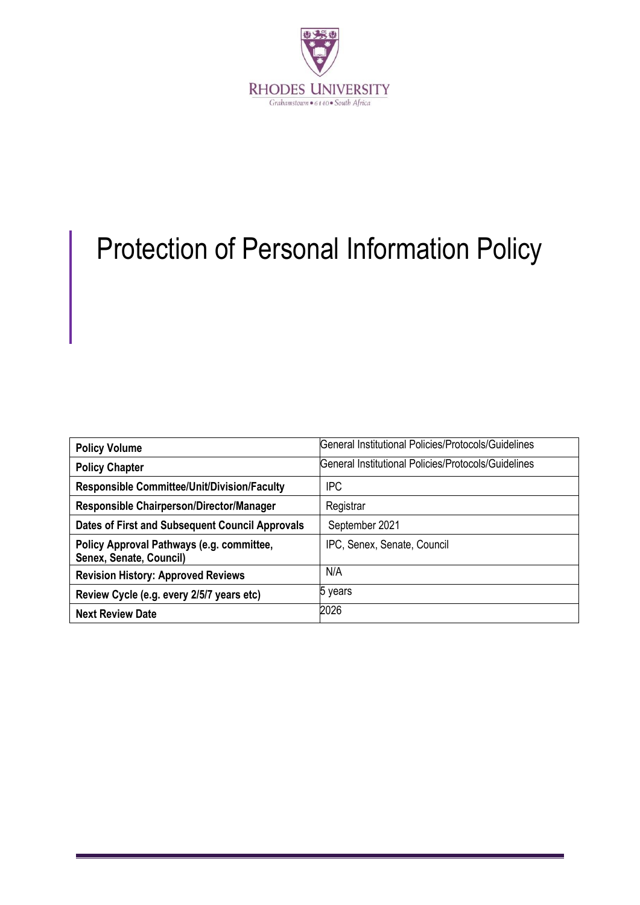

# Protection of Personal Information Policy

| <b>Policy Volume</b>                                                 | General Institutional Policies/Protocols/Guidelines |
|----------------------------------------------------------------------|-----------------------------------------------------|
| <b>Policy Chapter</b>                                                | General Institutional Policies/Protocols/Guidelines |
| <b>Responsible Committee/Unit/Division/Faculty</b>                   | <b>IPC</b>                                          |
| Responsible Chairperson/Director/Manager                             | Registrar                                           |
| Dates of First and Subsequent Council Approvals                      | September 2021                                      |
| Policy Approval Pathways (e.g. committee,<br>Senex, Senate, Council) | IPC, Senex, Senate, Council                         |
| <b>Revision History: Approved Reviews</b>                            | N/A                                                 |
| Review Cycle (e.g. every 2/5/7 years etc)                            | 5 years                                             |
| <b>Next Review Date</b>                                              | 2026                                                |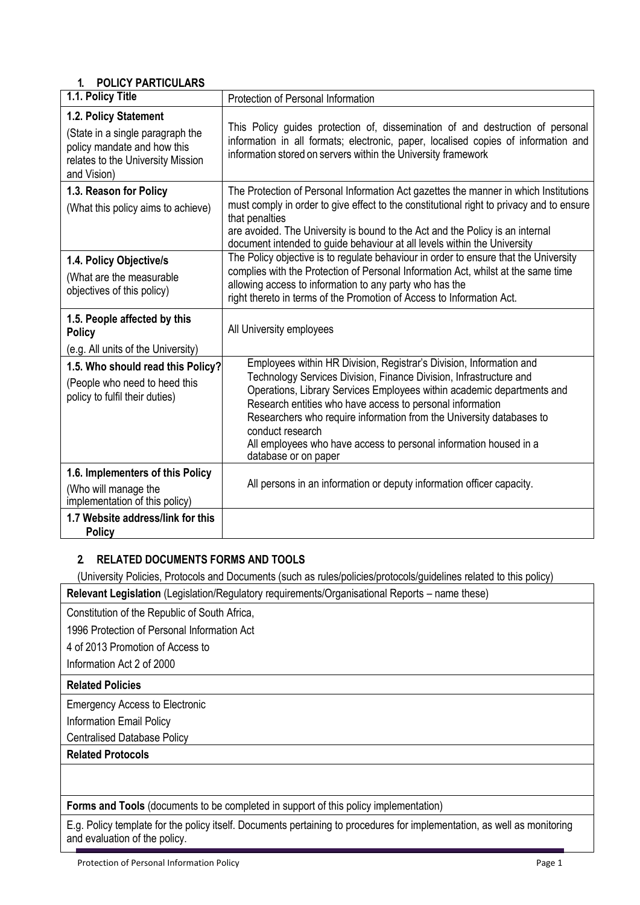# **1. POLICY PARTICULARS**

| 1.1. Policy Title                                                                                                                            | Protection of Personal Information                                                                                                                                                                                                                                                                                                                                                                                                                                        |  |
|----------------------------------------------------------------------------------------------------------------------------------------------|---------------------------------------------------------------------------------------------------------------------------------------------------------------------------------------------------------------------------------------------------------------------------------------------------------------------------------------------------------------------------------------------------------------------------------------------------------------------------|--|
| 1.2. Policy Statement<br>(State in a single paragraph the<br>policy mandate and how this<br>relates to the University Mission<br>and Vision) | This Policy guides protection of, dissemination of and destruction of personal<br>information in all formats; electronic, paper, localised copies of information and<br>information stored on servers within the University framework                                                                                                                                                                                                                                     |  |
| 1.3. Reason for Policy<br>(What this policy aims to achieve)                                                                                 | The Protection of Personal Information Act gazettes the manner in which Institutions<br>must comply in order to give effect to the constitutional right to privacy and to ensure<br>that penalties<br>are avoided. The University is bound to the Act and the Policy is an internal<br>document intended to guide behaviour at all levels within the University                                                                                                           |  |
| 1.4. Policy Objective/s<br>(What are the measurable<br>objectives of this policy)                                                            | The Policy objective is to regulate behaviour in order to ensure that the University<br>complies with the Protection of Personal Information Act, whilst at the same time<br>allowing access to information to any party who has the<br>right thereto in terms of the Promotion of Access to Information Act.                                                                                                                                                             |  |
| 1.5. People affected by this<br><b>Policy</b><br>(e.g. All units of the University)                                                          | All University employees                                                                                                                                                                                                                                                                                                                                                                                                                                                  |  |
| 1.5. Who should read this Policy?<br>(People who need to heed this<br>policy to fulfil their duties)                                         | Employees within HR Division, Registrar's Division, Information and<br>Technology Services Division, Finance Division, Infrastructure and<br>Operations, Library Services Employees within academic departments and<br>Research entities who have access to personal information<br>Researchers who require information from the University databases to<br>conduct research<br>All employees who have access to personal information housed in a<br>database or on paper |  |
| 1.6. Implementers of this Policy<br>(Who will manage the<br>implementation of this policy)                                                   | All persons in an information or deputy information officer capacity.                                                                                                                                                                                                                                                                                                                                                                                                     |  |
| 1.7 Website address/link for this<br><b>Policy</b>                                                                                           |                                                                                                                                                                                                                                                                                                                                                                                                                                                                           |  |

# **2. RELATED DOCUMENTS FORMS AND TOOLS**

(University Policies, Protocols and Documents (such as rules/policies/protocols/guidelines related to this policy)

**Relevant Legislation** (Legislation/Regulatory requirements/Organisational Reports – name these)

Constitution of the Republic of South Africa,

1996 Protection of Personal Information Act

4 of 2013 Promotion of Access to

Information Act 2 of 2000

#### **Related Policies**

Emergency Access to Electronic

Information Email Policy

Centralised Database Policy

## **Related Protocols**

**Forms and Tools** (documents to be completed in support of this policy implementation)

E.g. Policy template for the policy itself. Documents pertaining to procedures for implementation, as well as monitoring and evaluation of the policy.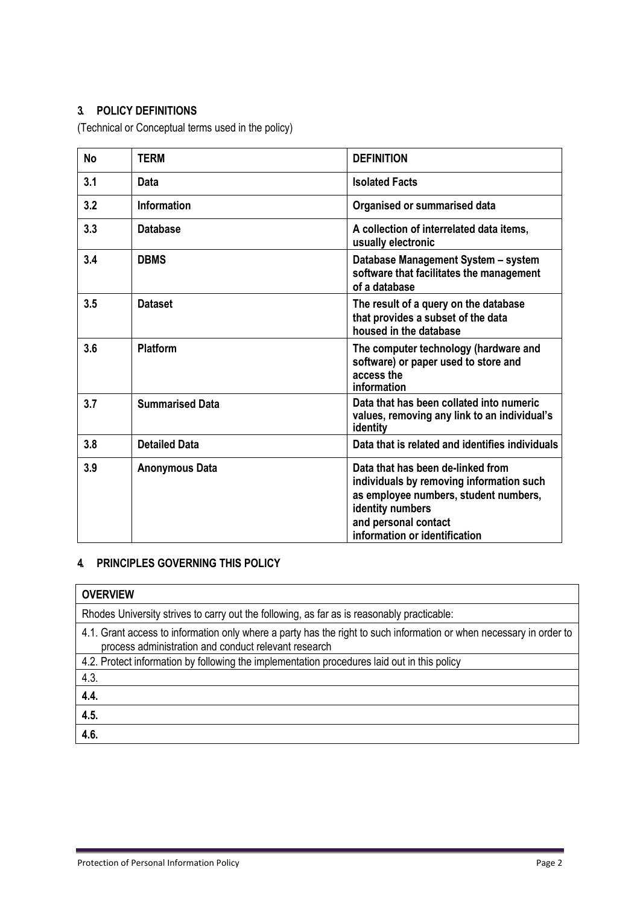# **3. POLICY DEFINITIONS**

(Technical or Conceptual terms used in the policy)

| <b>No</b> | <b>TERM</b>            | <b>DEFINITION</b>                                                                                                                                                                                   |
|-----------|------------------------|-----------------------------------------------------------------------------------------------------------------------------------------------------------------------------------------------------|
| 3.1       | Data                   | <b>Isolated Facts</b>                                                                                                                                                                               |
| 3.2       | <b>Information</b>     | Organised or summarised data                                                                                                                                                                        |
| 3.3       | <b>Database</b>        | A collection of interrelated data items,<br>usually electronic                                                                                                                                      |
| 3.4       | <b>DBMS</b>            | Database Management System - system<br>software that facilitates the management<br>of a database                                                                                                    |
| 3.5       | <b>Dataset</b>         | The result of a query on the database<br>that provides a subset of the data<br>housed in the database                                                                                               |
| 3.6       | <b>Platform</b>        | The computer technology (hardware and<br>software) or paper used to store and<br>access the<br>information                                                                                          |
| 3.7       | <b>Summarised Data</b> | Data that has been collated into numeric<br>values, removing any link to an individual's<br>identity                                                                                                |
| 3.8       | <b>Detailed Data</b>   | Data that is related and identifies individuals                                                                                                                                                     |
| 3.9       | <b>Anonymous Data</b>  | Data that has been de-linked from<br>individuals by removing information such<br>as employee numbers, student numbers,<br>identity numbers<br>and personal contact<br>information or identification |

## **4. PRINCIPLES GOVERNING THIS POLICY**

| <b>OVERVIEW</b>                                                                                                                                                             |
|-----------------------------------------------------------------------------------------------------------------------------------------------------------------------------|
| Rhodes University strives to carry out the following, as far as is reasonably practicable:                                                                                  |
| 4.1. Grant access to information only where a party has the right to such information or when necessary in order to<br>process administration and conduct relevant research |
| 4.2. Protect information by following the implementation procedures laid out in this policy                                                                                 |
| 4.3.                                                                                                                                                                        |
| 4.4.                                                                                                                                                                        |
| 4.5.                                                                                                                                                                        |
| 4.6.                                                                                                                                                                        |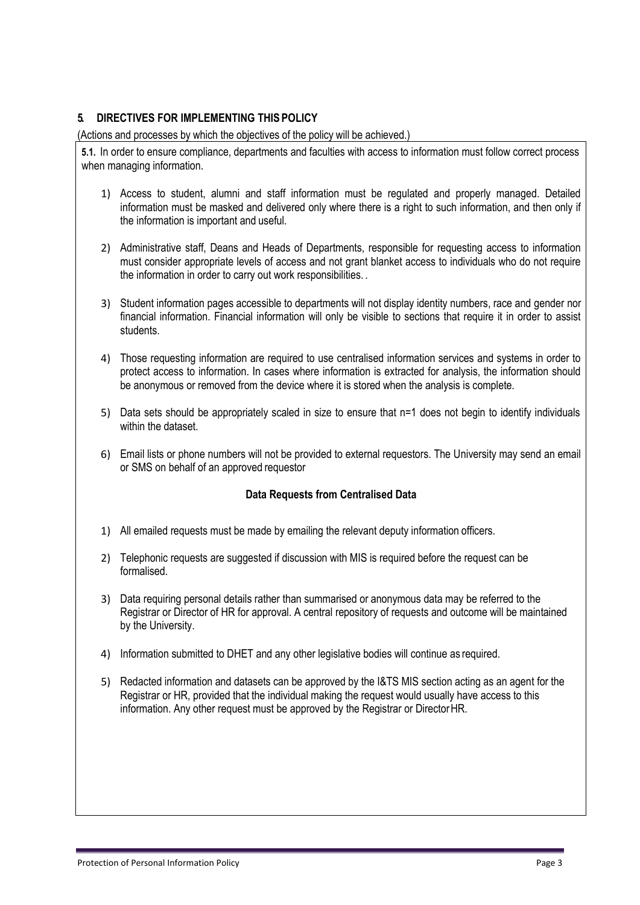### **5. DIRECTIVES FOR IMPLEMENTING THIS POLICY**

(Actions and processes by which the objectives of the policy will be achieved.)

**5.1.** In order to ensure compliance, departments and faculties with access to information must follow correct process when managing information.

- 1) Access to student, alumni and staff information must be regulated and properly managed. Detailed information must be masked and delivered only where there is a right to such information, and then only if the information is important and useful.
- 2) Administrative staff, Deans and Heads of Departments, responsible for requesting access to information must consider appropriate levels of access and not grant blanket access to individuals who do not require the information in order to carry out work responsibilities. .
- 3) Student information pages accessible to departments will not display identity numbers, race and gender nor financial information. Financial information will only be visible to sections that require it in order to assist students.
- 4) Those requesting information are required to use centralised information services and systems in order to protect access to information. In cases where information is extracted for analysis, the information should be anonymous or removed from the device where it is stored when the analysis is complete.
- 5) Data sets should be appropriately scaled in size to ensure that n=1 does not begin to identify individuals within the dataset.
- 6) Email lists or phone numbers will not be provided to external requestors. The University may send an email or SMS on behalf of an approved requestor

#### **Data Requests from Centralised Data**

- 1) All emailed requests must be made by emailing the relevant deputy information officers.
- 2) Telephonic requests are suggested if discussion with MIS is required before the request can be formalised.
- 3) Data requiring personal details rather than summarised or anonymous data may be referred to the Registrar or Director of HR for approval. A central repository of requests and outcome will be maintained by the University.
- 4) Information submitted to DHET and any other legislative bodies will continue as required.
- 5) Redacted information and datasets can be approved by the I&TS MIS section acting as an agent for the Registrar or HR, provided that the individual making the request would usually have access to this information. Any other request must be approved by the Registrar or DirectorHR.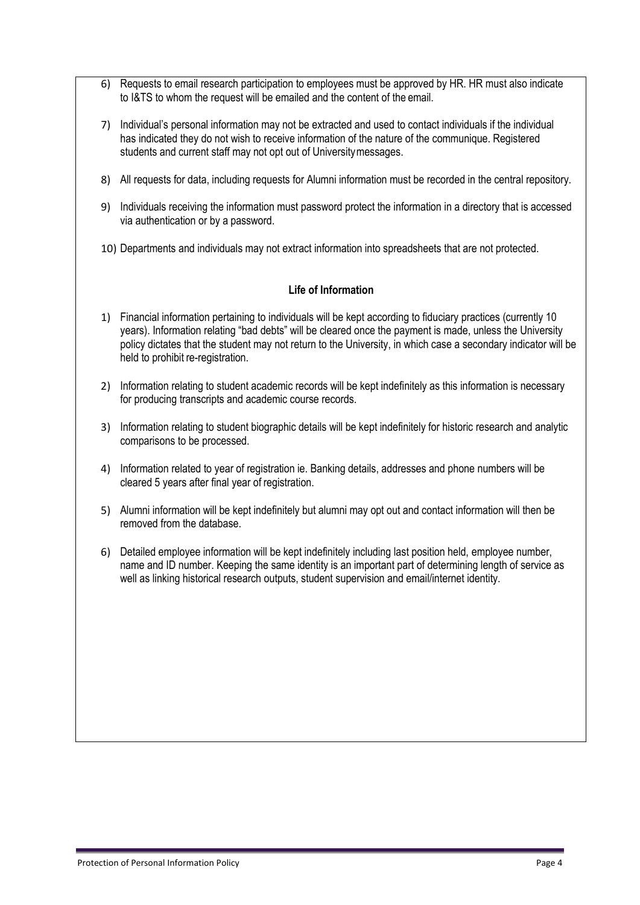- 6) Requests to email research participation to employees must be approved by HR. HR must also indicate to I&TS to whom the request will be emailed and the content of the email.
- 7) Individual's personal information may not be extracted and used to contact individuals if the individual has indicated they do not wish to receive information of the nature of the communique. Registered students and current staff may not opt out of Universitymessages.
- 8) All requests for data, including requests for Alumni information must be recorded in the central repository.
- 9) Individuals receiving the information must password protect the information in a directory that is accessed via authentication or by a password.
- 10) Departments and individuals may not extract information into spreadsheets that are not protected.

#### **Life of Information**

- 1) Financial information pertaining to individuals will be kept according to fiduciary practices (currently 10 years). Information relating "bad debts" will be cleared once the payment is made, unless the University policy dictates that the student may not return to the University, in which case a secondary indicator will be held to prohibit re-registration.
- 2) Information relating to student academic records will be kept indefinitely as this information is necessary for producing transcripts and academic course records.
- 3) Information relating to student biographic details will be kept indefinitely for historic research and analytic comparisons to be processed.
- 4) Information related to year of registration ie. Banking details, addresses and phone numbers will be cleared 5 years after final year of registration.
- 5) Alumni information will be kept indefinitely but alumni may opt out and contact information will then be removed from the database.
- 6) Detailed employee information will be kept indefinitely including last position held, employee number, name and ID number. Keeping the same identity is an important part of determining length of service as well as linking historical research outputs, student supervision and email/internet identity.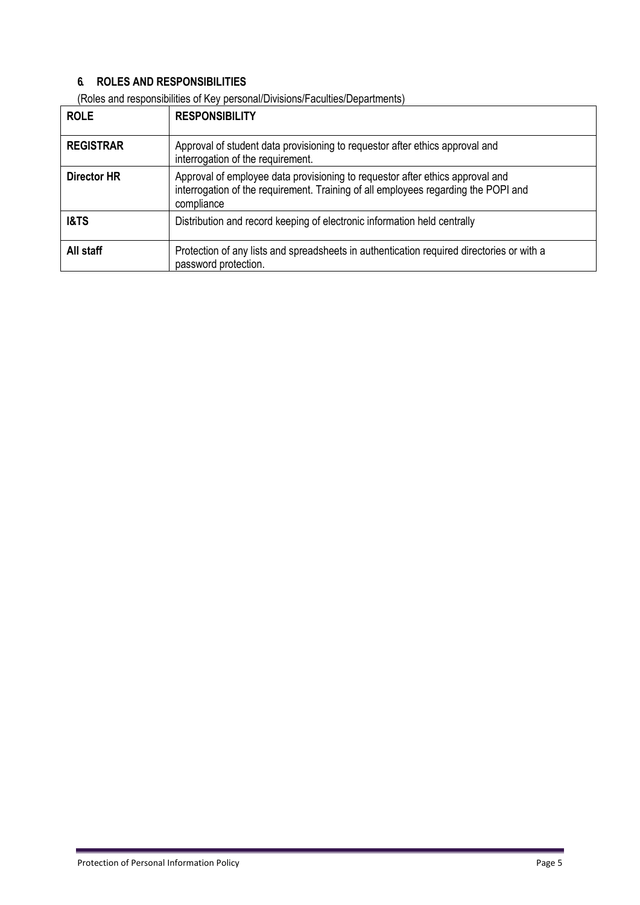## **6. ROLES AND RESPONSIBILITIES**

| <b>ROLE</b>        | <b>RESPONSIBILITY</b>                                                                                                                                                             |
|--------------------|-----------------------------------------------------------------------------------------------------------------------------------------------------------------------------------|
| <b>REGISTRAR</b>   | Approval of student data provisioning to requestor after ethics approval and<br>interrogation of the requirement.                                                                 |
| <b>Director HR</b> | Approval of employee data provisioning to requestor after ethics approval and<br>interrogation of the requirement. Training of all employees regarding the POPI and<br>compliance |
| <b>I&amp;TS</b>    | Distribution and record keeping of electronic information held centrally                                                                                                          |
| All staff          | Protection of any lists and spreadsheets in authentication required directories or with a<br>password protection.                                                                 |

(Roles and responsibilities of Key personal/Divisions/Faculties/Departments)